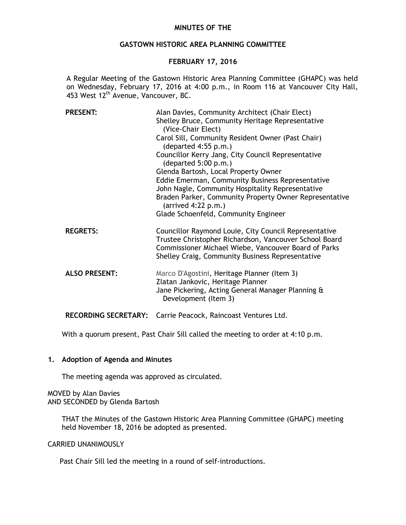# **MINUTES OF THE**

# **GASTOWN HISTORIC AREA PLANNING COMMITTEE**

# **FEBRUARY 17, 2016**

A Regular Meeting of the Gastown Historic Area Planning Committee (GHAPC) was held on Wednesday, February 17, 2016 at 4:00 p.m., in Room 116 at Vancouver City Hall, 453 West 12<sup>th</sup> Avenue, Vancouver, BC.

| <b>PRESENT:</b>             | Alan Davies, Community Architect (Chair Elect)<br>Shelley Bruce, Community Heritage Representative<br>(Vice-Chair Elect)                                                                                                    |
|-----------------------------|-----------------------------------------------------------------------------------------------------------------------------------------------------------------------------------------------------------------------------|
|                             | Carol Sill, Community Resident Owner (Past Chair)<br>(departed 4:55 p.m.)                                                                                                                                                   |
|                             | Councillor Kerry Jang, City Council Representative<br>(departed 5:00 p.m.)                                                                                                                                                  |
|                             | Glenda Bartosh, Local Property Owner                                                                                                                                                                                        |
|                             | Eddie Emerman, Community Business Representative                                                                                                                                                                            |
|                             | John Nagle, Community Hospitality Representative                                                                                                                                                                            |
|                             | Braden Parker, Community Property Owner Representative<br>$(\text{arrived } 4:22 \text{ p.m.})$                                                                                                                             |
|                             | Glade Schoenfeld, Community Engineer                                                                                                                                                                                        |
| <b>REGRETS:</b>             | Councillor Raymond Louie, City Council Representative<br>Trustee Christopher Richardson, Vancouver School Board<br>Commissioner Michael Wiebe, Vancouver Board of Parks<br>Shelley Craig, Community Business Representative |
| <b>ALSO PRESENT:</b>        | Marco D'Agostini, Heritage Planner (Item 3)<br>Zlatan Jankovic, Heritage Planner<br>Jane Pickering, Acting General Manager Planning &<br>Development (Item 3)                                                               |
| <b>RECORDING SECRETARY:</b> | Carrie Peacock, Raincoast Ventures Ltd.                                                                                                                                                                                     |

With a quorum present, Past Chair Sill called the meeting to order at 4:10 p.m.

#### **1. Adoption of Agenda and Minutes**

The meeting agenda was approved as circulated.

MOVED by Alan Davies AND SECONDED by Glenda Bartosh

> THAT the Minutes of the Gastown Historic Area Planning Committee (GHAPC) meeting held November 18, 2016 be adopted as presented.

## CARRIED UNANIMOUSLY

Past Chair Sill led the meeting in a round of self-introductions.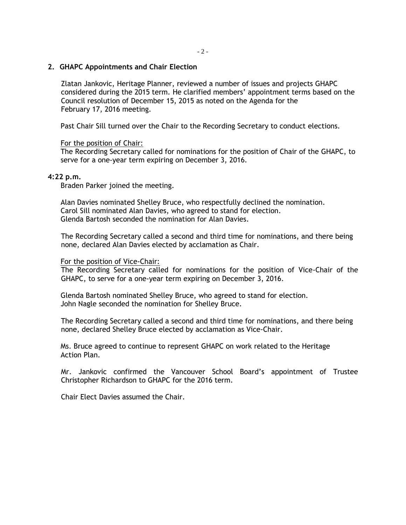## **2. GHAPC Appointments and Chair Election**

Zlatan Jankovic, Heritage Planner, reviewed a number of issues and projects GHAPC considered during the 2015 term. He clarified members' appointment terms based on the Council resolution of December 15, 2015 as noted on the Agenda for the February 17, 2016 meeting.

Past Chair Sill turned over the Chair to the Recording Secretary to conduct elections.

## For the position of Chair:

The Recording Secretary called for nominations for the position of Chair of the GHAPC, to serve for a one-year term expiring on December 3, 2016.

#### **4:22 p.m.**

Braden Parker joined the meeting.

Alan Davies nominated Shelley Bruce, who respectfully declined the nomination. Carol Sill nominated Alan Davies, who agreed to stand for election. Glenda Bartosh seconded the nomination for Alan Davies.

The Recording Secretary called a second and third time for nominations, and there being none, declared Alan Davies elected by acclamation as Chair.

#### For the position of Vice-Chair:

The Recording Secretary called for nominations for the position of Vice-Chair of the GHAPC, to serve for a one-year term expiring on December 3, 2016.

Glenda Bartosh nominated Shelley Bruce, who agreed to stand for election. John Nagle seconded the nomination for Shelley Bruce.

The Recording Secretary called a second and third time for nominations, and there being none, declared Shelley Bruce elected by acclamation as Vice-Chair.

Ms. Bruce agreed to continue to represent GHAPC on work related to the Heritage Action Plan.

Mr. Jankovic confirmed the Vancouver School Board's appointment of Trustee Christopher Richardson to GHAPC for the 2016 term.

Chair Elect Davies assumed the Chair.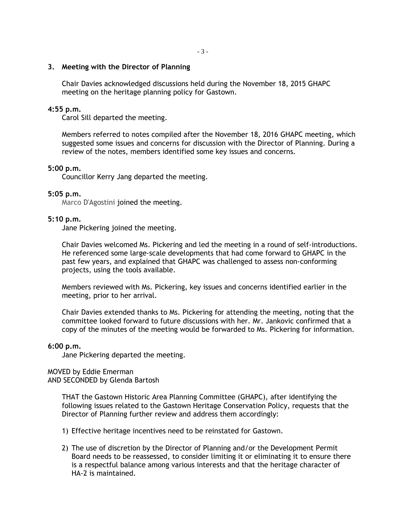## **3. Meeting with the Director of Planning**

Chair Davies acknowledged discussions held during the November 18, 2015 GHAPC meeting on the heritage planning policy for Gastown.

# **4:55 p.m.**

Carol Sill departed the meeting.

Members referred to notes compiled after the November 18, 2016 GHAPC meeting, which suggested some issues and concerns for discussion with the Director of Planning. During a review of the notes, members identified some key issues and concerns.

#### **5:00 p.m.**

Councillor Kerry Jang departed the meeting.

#### **5:05 p.m.**

Marco D'Agostini joined the meeting.

# **5:10 p.m.**

Jane Pickering joined the meeting.

Chair Davies welcomed Ms. Pickering and led the meeting in a round of self-introductions. He referenced some large-scale developments that had come forward to GHAPC in the past few years, and explained that GHAPC was challenged to assess non-conforming projects, using the tools available.

Members reviewed with Ms. Pickering, key issues and concerns identified earlier in the meeting, prior to her arrival.

Chair Davies extended thanks to Ms. Pickering for attending the meeting, noting that the committee looked forward to future discussions with her. Mr. Jankovic confirmed that a copy of the minutes of the meeting would be forwarded to Ms. Pickering for information.

#### **6:00 p.m.**

Jane Pickering departed the meeting.

# MOVED by Eddie Emerman

AND SECONDED by Glenda Bartosh

THAT the Gastown Historic Area Planning Committee (GHAPC), after identifying the following issues related to the Gastown Heritage Conservation Policy, requests that the Director of Planning further review and address them accordingly:

- 1) Effective heritage incentives need to be reinstated for Gastown.
- 2) The use of discretion by the Director of Planning and/or the Development Permit Board needs to be reassessed, to consider limiting it or eliminating it to ensure there is a respectful balance among various interests and that the heritage character of HA-2 is maintained.